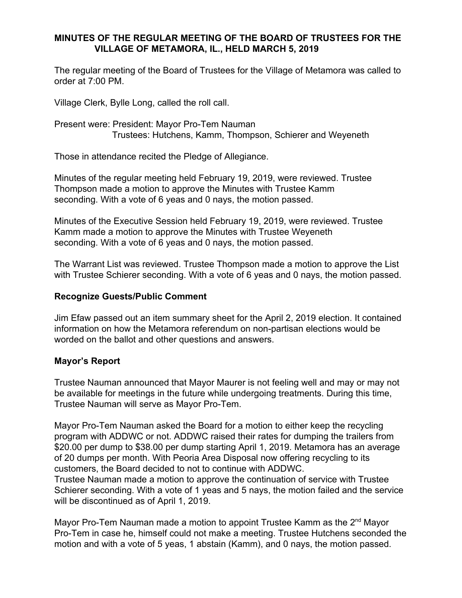# **MINUTES OF THE REGULAR MEETING OF THE BOARD OF TRUSTEES FOR THE VILLAGE OF METAMORA, IL., HELD MARCH 5, 2019**

The regular meeting of the Board of Trustees for the Village of Metamora was called to order at 7:00 PM.

Village Clerk, Bylle Long, called the roll call.

Present were: President: Mayor Pro-Tem Nauman Trustees: Hutchens, Kamm, Thompson, Schierer and Weyeneth

Those in attendance recited the Pledge of Allegiance.

Minutes of the regular meeting held February 19, 2019, were reviewed. Trustee Thompson made a motion to approve the Minutes with Trustee Kamm seconding. With a vote of 6 yeas and 0 nays, the motion passed.

Minutes of the Executive Session held February 19, 2019, were reviewed. Trustee Kamm made a motion to approve the Minutes with Trustee Weyeneth seconding. With a vote of 6 yeas and 0 nays, the motion passed.

The Warrant List was reviewed. Trustee Thompson made a motion to approve the List with Trustee Schierer seconding. With a vote of 6 yeas and 0 nays, the motion passed.

# **Recognize Guests/Public Comment**

Jim Efaw passed out an item summary sheet for the April 2, 2019 election. It contained information on how the Metamora referendum on non-partisan elections would be worded on the ballot and other questions and answers.

### **Mayor's Report**

Trustee Nauman announced that Mayor Maurer is not feeling well and may or may not be available for meetings in the future while undergoing treatments. During this time, Trustee Nauman will serve as Mayor Pro-Tem.

Mayor Pro-Tem Nauman asked the Board for a motion to either keep the recycling program with ADDWC or not. ADDWC raised their rates for dumping the trailers from \$20.00 per dump to \$38.00 per dump starting April 1, 2019. Metamora has an average of 20 dumps per month. With Peoria Area Disposal now offering recycling to its customers, the Board decided to not to continue with ADDWC.

Trustee Nauman made a motion to approve the continuation of service with Trustee Schierer seconding. With a vote of 1 yeas and 5 nays, the motion failed and the service will be discontinued as of April 1, 2019.

Mayor Pro-Tem Nauman made a motion to appoint Trustee Kamm as the 2<sup>nd</sup> Mayor Pro-Tem in case he, himself could not make a meeting. Trustee Hutchens seconded the motion and with a vote of 5 yeas, 1 abstain (Kamm), and 0 nays, the motion passed.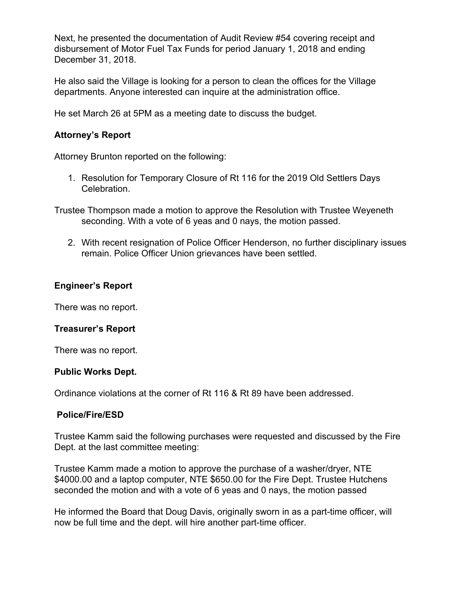Next, he presented the documentation of Audit Review #54 covering receipt and disbursement of Motor Fuel Tax Funds for period January 1, 2018 and ending December 31, 2018.

He also said the Village is looking for a person to clean the offices for the Village departments. Anyone interested can inquire at the administration office.

He set March 26 at 5PM as a meeting date to discuss the budget.

### **Attorney's Report**

Attorney Brunton reported on the following:

- 1. Resolution for Temporary Closure of Rt 116 for the 2019 Old Settlers Days Celebration.
- Trustee Thompson made a motion to approve the Resolution with Trustee Weyeneth seconding. With a vote of 6 yeas and 0 nays, the motion passed.
	- 2. With recent resignation of Police Officer Henderson, no further disciplinary issues remain. Police Officer Union grievances have been settled.

## **Engineer's Report**

There was no report.

### **Treasurer's Report**

There was no report.

### **Public Works Dept.**

Ordinance violations at the corner of Rt 116 & Rt 89 have been addressed.

### **Police/Fire/ESD**

Trustee Kamm said the following purchases were requested and discussed by the Fire Dept. at the last committee meeting:

Trustee Kamm made a motion to approve the purchase of a washer/dryer, NTE \$4000.00 and a laptop computer, NTE \$650.00 for the Fire Dept. Trustee Hutchens seconded the motion and with a vote of 6 yeas and 0 nays, the motion passed

He informed the Board that Doug Davis, originally sworn in as a part-time officer, will now be full time and the dept. will hire another part-time officer.